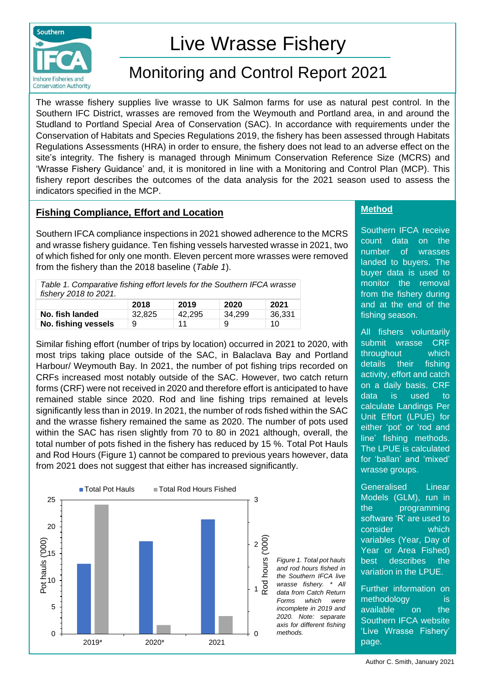

# Live Wrasse Fishery

## Monitoring and Control Report 2021

The wrasse fishery supplies live wrasse to UK Salmon farms for use as natural pest control. In the Southern IFC District, wrasses are removed from the Weymouth and Portland area, in and around the Studland to Portland Special Area of Conservation (SAC). In accordance with requirements under the Conservation of Habitats and Species Regulations 2019, the fishery has been assessed through Habitats Regulations Assessments (HRA) in order to ensure, the fishery does not lead to an adverse effect on the site's integrity. The fishery is managed through Minimum Conservation Reference Size (MCRS) and 'Wrasse Fishery Guidance' and, it is monitored in line with a Monitoring and Control Plan (MCP). This fishery report describes the outcomes of the data analysis for the 2021 season used to assess the indicators specified in the MCP.

## **Fishing Compliance, Effort and Location**

Southern IFCA compliance inspections in 2021 showed adherence to the MCRS and wrasse fishery guidance. Ten fishing vessels harvested wrasse in 2021, two of which fished for only one month. Eleven percent more wrasses were removed from the fishery than the 2018 baseline (*Table 1*).

| Table 1. Comparative fishing effort levels for the Southern IFCA wrasse<br>fishery 2018 to 2021. |       |                             |           |  |  |  |
|--------------------------------------------------------------------------------------------------|-------|-----------------------------|-----------|--|--|--|
| 2018                                                                                             | 2019  | 2020                        | 2021      |  |  |  |
|                                                                                                  | ----- | $\sim$ $\sim$ $\sim$ $\sim$ | - . - - - |  |  |  |

|                     | 2018   | 2019   | 2020   | 2021   |
|---------------------|--------|--------|--------|--------|
| No. fish landed     | 32.825 | 42.295 | 34.299 | 36,331 |
| No. fishing vessels |        | 11     | 9      | 10     |

Similar fishing effort (number of trips by location) occurred in 2021 to 2020, with most trips taking place outside of the SAC, in Balaclava Bay and Portland Harbour/ Weymouth Bay. In 2021, the number of pot fishing trips recorded on CRFs increased most notably outside of the SAC. However, two catch return forms (CRF) were not received in 2020 and therefore effort is anticipated to have remained stable since 2020. Rod and line fishing trips remained at levels significantly less than in 2019. In 2021, the number of rods fished within the SAC and the wrasse fishery remained the same as 2020. The number of pots used within the SAC has risen slightly from 70 to 80 in 2021 although, overall, the total number of pots fished in the fishery has reduced by 15 %. Total Pot Hauls and Rod Hours (Figure 1) cannot be compared to previous years however, data from 2021 does not suggest that either has increased significantly.



**Method**

Southern IFCA receive count data on the number of wrasses landed to buyers. The buyer data is used to monitor the removal from the fishery during and at the end of the fishing season.

All fishers voluntarily submit wrasse CRF throughout which details their fishing activity, effort and catch on a daily basis. CRF data is used to calculate Landings Per Unit Effort (LPUE) for either 'pot' or 'rod and line' fishing methods. The LPUE is calculated for 'ballan' and 'mixed' wrasse groups.

Generalised Linear Models (GLM), run in the programming software 'R' are used to consider which variables (Year, Day of Year or Area Fished) best describes the variation in the LPUE.

Further information on methodology is available on the Southern IFCA website 'Live Wrasse Fishery' page.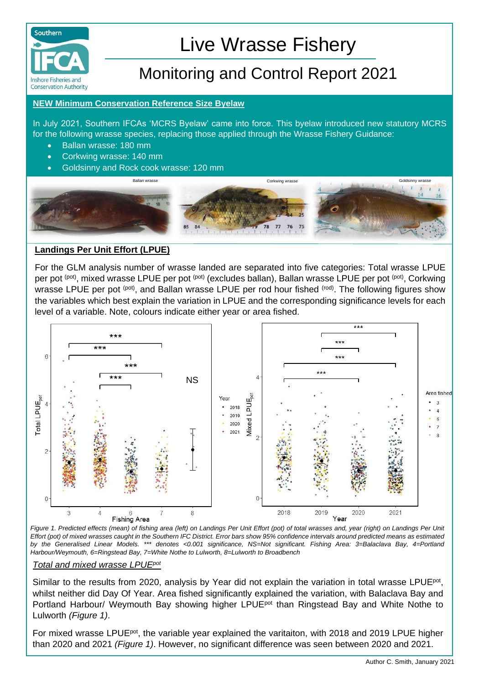

# Live Wrasse Fishery

## Monitoring and Control Report 2021

#### **NEW Minimum Conservation Reference Size Byelaw**

In July 2021, Southern IFCAs 'MCRS Byelaw' came into force. This byelaw introduced new statutory MCRS for the following wrasse species, replacing those applied through the Wrasse Fishery Guidance:

- Ballan wrasse: 180 mm
- Corkwing wrasse: 140 mm
- Goldsinny and Rock cook wrasse: 120 mm



### **Landings Per Unit Effort (LPUE)**

For the GLM analysis number of wrasse landed are separated into five categories: Total wrasse LPUE per pot (pot), mixed wrasse LPUE per pot (pot) (excludes ballan), Ballan wrasse LPUE per pot (pot), Corkwing wrasse LPUE per pot <sup>(pot)</sup>, and Ballan wrasse LPUE per rod hour fished <sup>(rod)</sup>. The following figures show the variables which best explain the variation in LPUE and the corresponding significance levels for each level of a variable. Note, colours indicate either year or area fished.



*Figure 1. Predicted effects (mean) of fishing area (left) on Landings Per Unit Effort (pot) of total wrasses and, year (right) on Landings Per Unit Effort (pot) of mixed wrasses caught in the Southern IFC District. Error bars show 95% confidence intervals around predicted means as estimated by the Generalised Linear Models. \*\*\* denotes <0.001 significance, NS=Not significant. Fishing Area: 3=Balaclava Bay, 4=Portland Harbour/Weymouth, 6=Ringstead Bay, 7=White Nothe to Lulworth, 8=Lulworth to Broadbench*

#### *Total and mixed wrasse LPUEpot*

Similar to the results from 2020, analysis by Year did not explain the variation in total wrasse LPUE<sup>pot</sup>, whilst neither did Day Of Year. Area fished significantly explained the variation, with Balaclava Bay and Portland Harbour/ Weymouth Bay showing higher LPUE<sup>pot</sup> than Ringstead Bay and White Nothe to Lulworth *(Figure 1)*.

For mixed wrasse LPUE<sup>pot</sup>, the variable year explained the varitaiton, with 2018 and 2019 LPUE higher than 2020 and 2021 *(Figure 1)*. However, no significant difference was seen between 2020 and 2021.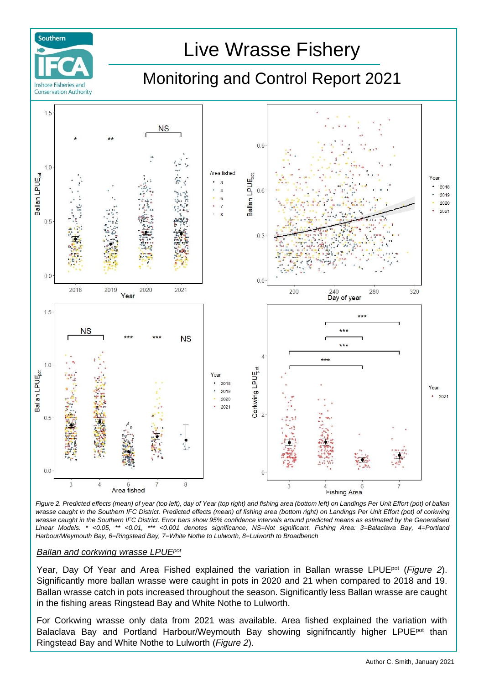

*Figure 2. Predicted effects (mean) of year (top left), day of Year (top right) and fishing area (bottom left) on Landings Per Unit Effort (pot) of ballan wrasse caught in the Southern IFC District. Predicted effects (mean) of fishing area (bottom right) on Landings Per Unit Effort (pot) of corkwing wrasse caught in the Southern IFC District. Error bars show 95% confidence intervals around predicted means as estimated by the Generalised Linear Models. \* <0.05, \*\* <0.01, \*\*\* <0.001 denotes significance, NS=Not significant. Fishing Area: 3=Balaclava Bay, 4=Portland Harbour/Weymouth Bay, 6=Ringstead Bay, 7=White Nothe to Lulworth, 8=Lulworth to Broadbench*

#### *Ballan and corkwing wrasse LPUEpot*

Year, Day Of Year and Area Fished explained the variation in Ballan wrasse LPUEpot (*Figure 2*). Significantly more ballan wrasse were caught in pots in 2020 and 21 when compared to 2018 and 19. Ballan wrasse catch in pots increased throughout the season. Significantly less Ballan wrasse are caught in the fishing areas Ringstead Bay and White Nothe to Lulworth.

For Corkwing wrasse only data from 2021 was available. Area fished explained the variation with Balaclava Bay and Portland Harbour/Weymouth Bay showing signifncantly higher LPUE<sup>pot</sup> than Ringstead Bay and White Nothe to Lulworth (*Figure 2*).